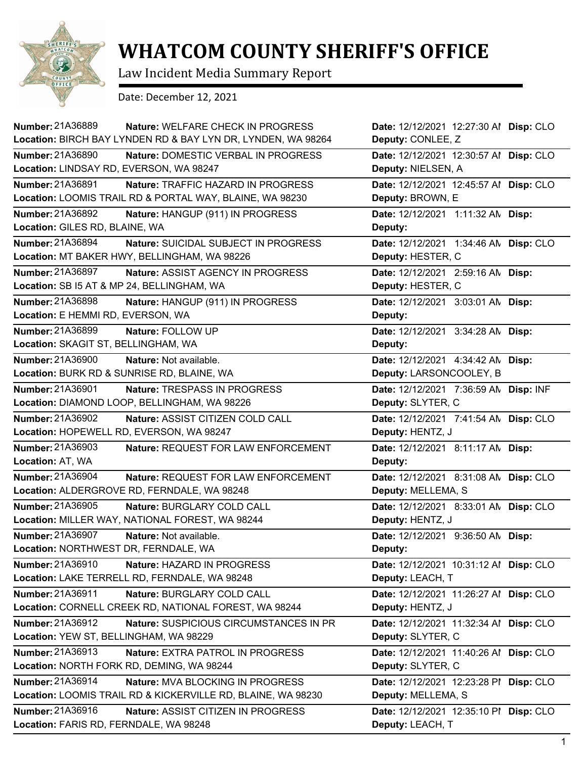

## **WHATCOM COUNTY SHERIFF'S OFFICE**

Law Incident Media Summary Report

Date: December 12, 2021

| Number: 21A36889<br>Nature: WELFARE CHECK IN PROGRESS          | Date: 12/12/2021 12:27:30 Al Disp: CLO |
|----------------------------------------------------------------|----------------------------------------|
| Location: BIRCH BAY LYNDEN RD & BAY LYN DR, LYNDEN, WA 98264   | Deputy: CONLEE, Z                      |
| Number: 21A36890<br>Nature: DOMESTIC VERBAL IN PROGRESS        | Date: 12/12/2021 12:30:57 Al Disp: CLO |
| Location: LINDSAY RD, EVERSON, WA 98247                        | Deputy: NIELSEN, A                     |
| Number: 21A36891<br>Nature: TRAFFIC HAZARD IN PROGRESS         | Date: 12/12/2021 12:45:57 Al Disp: CLO |
| Location: LOOMIS TRAIL RD & PORTAL WAY, BLAINE, WA 98230       | Deputy: BROWN, E                       |
| Number: 21A36892<br>Nature: HANGUP (911) IN PROGRESS           | Date: 12/12/2021 1:11:32 AN Disp:      |
| Location: GILES RD, BLAINE, WA                                 | Deputy:                                |
| Number: 21A36894<br>Nature: SUICIDAL SUBJECT IN PROGRESS       | Date: 12/12/2021 1:34:46 AN Disp: CLO  |
| Location: MT BAKER HWY, BELLINGHAM, WA 98226                   | Deputy: HESTER, C                      |
| Number: 21A36897<br>Nature: ASSIST AGENCY IN PROGRESS          | Date: 12/12/2021 2:59:16 AN Disp:      |
| Location: SB I5 AT & MP 24, BELLINGHAM, WA                     | Deputy: HESTER, C                      |
| Number: 21A36898<br>Nature: HANGUP (911) IN PROGRESS           | Date: 12/12/2021 3:03:01 AN Disp:      |
| Location: E HEMMI RD, EVERSON, WA                              | Deputy:                                |
| Number: 21A36899<br>Nature: FOLLOW UP                          | Date: 12/12/2021 3:34:28 AN Disp:      |
| Location: SKAGIT ST, BELLINGHAM, WA                            | Deputy:                                |
| Number: 21A36900<br>Nature: Not available.                     | Date: 12/12/2021 4:34:42 AN Disp:      |
| Location: BURK RD & SUNRISE RD, BLAINE, WA                     | Deputy: LARSONCOOLEY, B                |
| Number: 21A36901<br>Nature: TRESPASS IN PROGRESS               | Date: 12/12/2021 7:36:59 AN Disp: INF  |
| Location: DIAMOND LOOP, BELLINGHAM, WA 98226                   | Deputy: SLYTER, C                      |
| Number: 21A36902<br>Nature: ASSIST CITIZEN COLD CALL           | Date: 12/12/2021 7:41:54 AN Disp: CLO  |
| Location: HOPEWELL RD, EVERSON, WA 98247                       | Deputy: HENTZ, J                       |
| <b>Number: 21A36903</b><br>Nature: REQUEST FOR LAW ENFORCEMENT | Date: 12/12/2021 8:11:17 AN Disp:      |
| Location: AT, WA                                               | Deputy:                                |
| Number: 21A36904<br>Nature: REQUEST FOR LAW ENFORCEMENT        | Date: 12/12/2021 8:31:08 AN Disp: CLO  |
| Location: ALDERGROVE RD, FERNDALE, WA 98248                    | Deputy: MELLEMA, S                     |
| Number: 21A36905<br>Nature: BURGLARY COLD CALL                 | Date: 12/12/2021 8:33:01 AN Disp: CLO  |
| Location: MILLER WAY, NATIONAL FOREST, WA 98244                | Deputy: HENTZ, J                       |
| Number: 21A36907<br>Nature: Not available.                     | Date: 12/12/2021 9:36:50 AN Disp:      |
| Location: NORTHWEST DR, FERNDALE, WA                           | Deputy:                                |
| Number: 21A36910<br>Nature: HAZARD IN PROGRESS                 | Date: 12/12/2021 10:31:12 Al Disp: CLO |
| Location: LAKE TERRELL RD, FERNDALE, WA 98248                  | Deputy: LEACH, T                       |
| Number: 21A36911<br>Nature: BURGLARY COLD CALL                 | Date: 12/12/2021 11:26:27 Al Disp: CLO |
| Location: CORNELL CREEK RD, NATIONAL FOREST, WA 98244          | Deputy: HENTZ, J                       |
| Number: 21A36912<br>Nature: SUSPICIOUS CIRCUMSTANCES IN PR     | Date: 12/12/2021 11:32:34 Al Disp: CLO |
| Location: YEW ST, BELLINGHAM, WA 98229                         | Deputy: SLYTER, C                      |
| Number: 21A36913<br><b>Nature: EXTRA PATROL IN PROGRESS</b>    | Date: 12/12/2021 11:40:26 Al Disp: CLO |
| Location: NORTH FORK RD, DEMING, WA 98244                      | Deputy: SLYTER, C                      |
| Number: 21A36914<br>Nature: MVA BLOCKING IN PROGRESS           | Date: 12/12/2021 12:23:28 PI Disp: CLO |
| Location: LOOMIS TRAIL RD & KICKERVILLE RD, BLAINE, WA 98230   | Deputy: MELLEMA, S                     |
| Number: 21A36916<br>Nature: ASSIST CITIZEN IN PROGRESS         | Date: 12/12/2021 12:35:10 PI Disp: CLO |
| Location: FARIS RD, FERNDALE, WA 98248                         | Deputy: LEACH, T                       |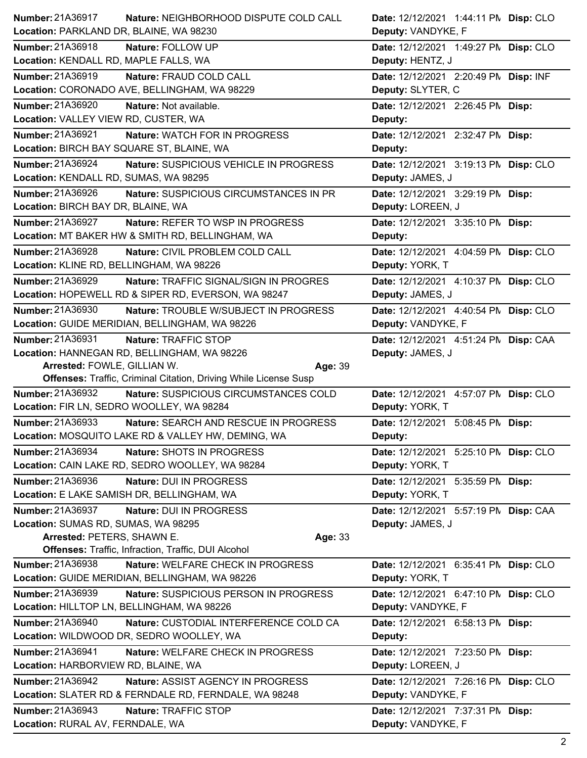| Number: 21A36917<br>Nature: NEIGHBORHOOD DISPUTE COLD CALL<br>Location: PARKLAND DR, BLAINE, WA 98230 | Date: 12/12/2021 1:44:11 PM Disp: CLO<br>Deputy: VANDYKE, F |
|-------------------------------------------------------------------------------------------------------|-------------------------------------------------------------|
|                                                                                                       |                                                             |
| Number: 21A36918<br>Nature: FOLLOW UP<br>Location: KENDALL RD, MAPLE FALLS, WA                        | Date: 12/12/2021 1:49:27 PM Disp: CLO<br>Deputy: HENTZ, J   |
| Number: 21A36919<br>Nature: FRAUD COLD CALL                                                           | Date: 12/12/2021 2:20:49 PM Disp: INF                       |
| Location: CORONADO AVE, BELLINGHAM, WA 98229                                                          | Deputy: SLYTER, C                                           |
| <b>Number: 21A36920</b><br>Nature: Not available.                                                     | Date: 12/12/2021 2:26:45 PM Disp:                           |
| Location: VALLEY VIEW RD, CUSTER, WA                                                                  | Deputy:                                                     |
| <b>Number: 21A36921</b><br>Nature: WATCH FOR IN PROGRESS                                              | Date: 12/12/2021 2:32:47 PM Disp:                           |
| Location: BIRCH BAY SQUARE ST, BLAINE, WA                                                             | Deputy:                                                     |
| Number: 21A36924<br>Nature: SUSPICIOUS VEHICLE IN PROGRESS                                            | Date: 12/12/2021 3:19:13 PM Disp: CLO                       |
| Location: KENDALL RD, SUMAS, WA 98295                                                                 | Deputy: JAMES, J                                            |
| Number: 21A36926<br>Nature: SUSPICIOUS CIRCUMSTANCES IN PR                                            | Date: 12/12/2021 3:29:19 PM Disp:                           |
| Location: BIRCH BAY DR, BLAINE, WA                                                                    | Deputy: LOREEN, J                                           |
| <b>Number: 21A36927</b><br>Nature: REFER TO WSP IN PROGRESS                                           | Date: 12/12/2021 3:35:10 PM Disp:                           |
| Location: MT BAKER HW & SMITH RD, BELLINGHAM, WA                                                      | Deputy:                                                     |
| <b>Number: 21A36928</b><br>Nature: CIVIL PROBLEM COLD CALL                                            | Date: 12/12/2021 4:04:59 PN Disp: CLO                       |
| Location: KLINE RD, BELLINGHAM, WA 98226                                                              | Deputy: YORK, T                                             |
| Number: 21A36929<br>Nature: TRAFFIC SIGNAL/SIGN IN PROGRES                                            | Date: 12/12/2021 4:10:37 PM Disp: CLO                       |
| Location: HOPEWELL RD & SIPER RD, EVERSON, WA 98247                                                   | Deputy: JAMES, J                                            |
| Number: 21A36930<br>Nature: TROUBLE W/SUBJECT IN PROGRESS                                             | Date: 12/12/2021 4:40:54 PM Disp: CLO                       |
| Location: GUIDE MERIDIAN, BELLINGHAM, WA 98226                                                        | Deputy: VANDYKE, F                                          |
| Number: 21A36931<br>Nature: TRAFFIC STOP                                                              | Date: 12/12/2021 4:51:24 PN Disp: CAA                       |
| Location: HANNEGAN RD, BELLINGHAM, WA 98226                                                           | Deputy: JAMES, J                                            |
| Arrested: FOWLE, GILLIAN W.<br>Age: 39                                                                |                                                             |
| <b>Offenses: Traffic, Criminal Citation, Driving While License Susp</b>                               |                                                             |
| Number: 21A36932<br>Nature: SUSPICIOUS CIRCUMSTANCES COLD                                             | Date: 12/12/2021 4:57:07 PN Disp: CLO                       |
|                                                                                                       |                                                             |
|                                                                                                       |                                                             |
| Location: FIR LN, SEDRO WOOLLEY, WA 98284<br>Number: 21A36933                                         | Deputy: YORK, T                                             |
| Nature: SEARCH AND RESCUE IN PROGRESS<br>Location: MOSQUITO LAKE RD & VALLEY HW, DEMING, WA           | Date: 12/12/2021 5:08:45 PM Disp:<br>Deputy:                |
| Number: 21A36934<br>Nature: SHOTS IN PROGRESS                                                         |                                                             |
| Location: CAIN LAKE RD, SEDRO WOOLLEY, WA 98284                                                       | Date: 12/12/2021 5:25:10 PN Disp: CLO<br>Deputy: YORK, T    |
| Number: 21A36936<br>Nature: DUI IN PROGRESS                                                           | Date: 12/12/2021 5:35:59 PM Disp:                           |
| Location: E LAKE SAMISH DR, BELLINGHAM, WA                                                            | Deputy: YORK, T                                             |
| Number: 21A36937<br>Nature: DUI IN PROGRESS                                                           | Date: 12/12/2021 5:57:19 PN Disp: CAA                       |
| Location: SUMAS RD, SUMAS, WA 98295                                                                   | Deputy: JAMES, J                                            |
| Arrested: PETERS, SHAWN E.<br>Age: 33                                                                 |                                                             |
| <b>Offenses: Traffic, Infraction, Traffic, DUI Alcohol</b>                                            |                                                             |
| Number: 21A36938<br>Nature: WELFARE CHECK IN PROGRESS                                                 | Date: 12/12/2021 6:35:41 PM Disp: CLO                       |
| Location: GUIDE MERIDIAN, BELLINGHAM, WA 98226                                                        | Deputy: YORK, T                                             |
| <b>Number: 21A36939</b><br>Nature: SUSPICIOUS PERSON IN PROGRESS                                      | Date: 12/12/2021 6:47:10 PM Disp: CLO                       |
| Location: HILLTOP LN, BELLINGHAM, WA 98226                                                            | Deputy: VANDYKE, F                                          |
| Number: 21A36940<br>Nature: CUSTODIAL INTERFERENCE COLD CA                                            | Date: 12/12/2021 6:58:13 PM Disp:                           |
| Location: WILDWOOD DR, SEDRO WOOLLEY, WA                                                              | Deputy:                                                     |
| Number: 21A36941<br>Nature: WELFARE CHECK IN PROGRESS                                                 | Date: 12/12/2021 7:23:50 PM Disp:                           |
| Location: HARBORVIEW RD, BLAINE, WA                                                                   | Deputy: LOREEN, J                                           |
| Number: 21A36942<br>Nature: ASSIST AGENCY IN PROGRESS                                                 | Date: 12/12/2021 7:26:16 PN Disp: CLO                       |
| Location: SLATER RD & FERNDALE RD, FERNDALE, WA 98248                                                 | Deputy: VANDYKE, F                                          |
| Number: 21A36943<br>Nature: TRAFFIC STOP                                                              | Date: 12/12/2021 7:37:31 PM Disp:                           |